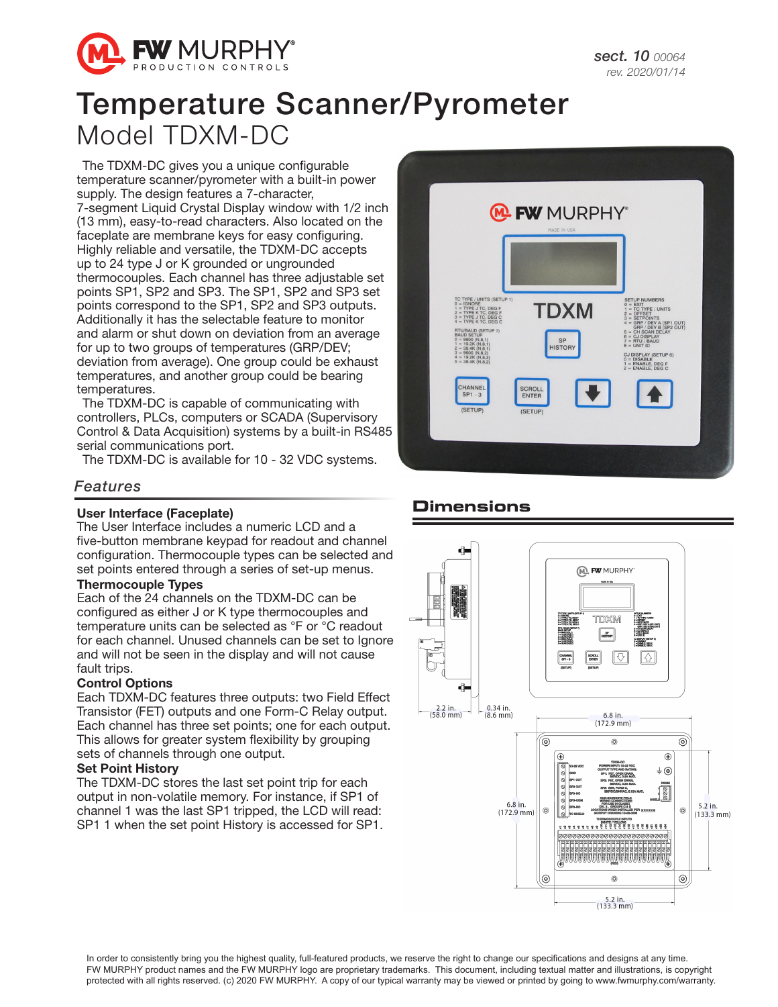

# Temperature Scanner/Pyrometer Model TDXM-DC

The TDXM-DC gives you a unique configurable temperature scanner/pyrometer with a built-in power supply. The design features a 7-character, 7-segment Liquid Crystal Display window with 1/2 inch (13 mm), easy-to-read characters. Also located on the faceplate are membrane keys for easy configuring. Highly reliable and versatile, the TDXM-DC accepts up to 24 type J or K grounded or ungrounded thermocouples. Each channel has three adjustable set points SP1, SP2 and SP3. The SP1, SP2 and SP3 set points correspond to the SP1, SP2 and SP3 outputs. Additionally it has the selectable feature to monitor and alarm or shut down on deviation from an average for up to two groups of temperatures (GRP/DEV; deviation from average). One group could be exhaust temperatures, and another group could be bearing temperatures.

The TDXM-DC is capable of communicating with controllers, PLCs, computers or SCADA (Supervisory Control & Data Acquisition) systems by a built-in RS485 serial communications port.

The TDXM-DC is available for 10 - 32 VDC systems.

## *Features*

### User Interface (Faceplate)

The User Interface includes a numeric LCD and a five-button membrane keypad for readout and channel configuration. Thermocouple types can be selected and set points entered through a series of set-up menus.

## Thermocouple Types

Each of the 24 channels on the TDXM-DC can be configured as either J or K type thermocouples and temperature units can be selected as °F or °C readout for each channel. Unused channels can be set to Ignore and will not be seen in the display and will not cause fault trips.

### Control Options

Each TDXM-DC features three outputs: two Field Effect Transistor (FET) outputs and one Form-C Relay output. Each channel has three set points; one for each output. This allows for greater system flexibility by grouping sets of channels through one output.

#### Set Point History

The TDXM-DC stores the last set point trip for each output in non-volatile memory. For instance, if SP1 of channel 1 was the last SP1 tripped, the LCD will read: SP1 1 when the set point History is accessed for SP1.



## **Dimensions**



In order to consistently bring you the highest quality, full-featured products, we reserve the right to change our specifications and designs at any time. FW MURPHY product names and the FW MURPHY logo are proprietary trademarks. This document, including textual matter and illustrations, is copyright protected with all rights reserved. (c) 2020 FW MURPHY. A copy of our typical warranty may be viewed or printed by going to www.fwmurphy.com/warranty.